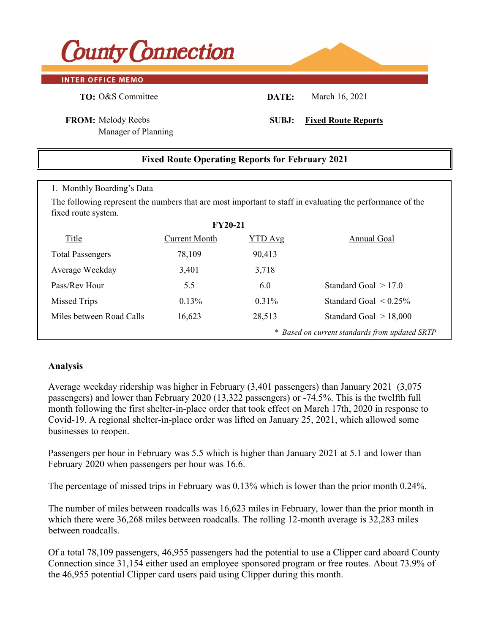

### **INTER OFFICE MEMO**

**TO:** O&S Committee **DATE:** March 16, 2021

Manager of Planning

## **FROM:** Melody Reebs **SUBJ: Fixed Route Reports**

# **Fixed Route Operating Reports for February 2021**

### 1. Monthly Boarding's Data

The following represent the numbers that are most important to staff in evaluating the performance of the fixed route system.

| <b>FY20-21</b>                                 |               |                |                             |  |  |  |  |  |  |
|------------------------------------------------|---------------|----------------|-----------------------------|--|--|--|--|--|--|
| Title                                          | Current Month | <b>YTD</b> Avg | Annual Goal                 |  |  |  |  |  |  |
| <b>Total Passengers</b>                        | 78,109        | 90,413         |                             |  |  |  |  |  |  |
| Average Weekday                                | 3,401         | 3,718          |                             |  |  |  |  |  |  |
| Pass/Rev Hour                                  | 5.5           | 6.0            | Standard Goal $>17.0$       |  |  |  |  |  |  |
| Missed Trips                                   | $0.13\%$      | $0.31\%$       | Standard Goal $\leq 0.25\%$ |  |  |  |  |  |  |
| Miles between Road Calls                       | 16,623        | 28,513         | Standard Goal $> 18,000$    |  |  |  |  |  |  |
| * Based on current standards from updated SRTP |               |                |                             |  |  |  |  |  |  |

### **Analysis**

Average weekday ridership was higher in February (3,401 passengers) than January 2021 (3,075 passengers) and lower than February 2020 (13,322 passengers) or -74.5%. This is the twelfth full month following the first shelter-in-place order that took effect on March 17th, 2020 in response to Covid-19. A regional shelter-in-place order was lifted on January 25, 2021, which allowed some businesses to reopen.

Passengers per hour in February was 5.5 which is higher than January 2021 at 5.1 and lower than February 2020 when passengers per hour was 16.6.

The percentage of missed trips in February was 0.13% which is lower than the prior month 0.24%.

The number of miles between roadcalls was 16,623 miles in February, lower than the prior month in which there were 36,268 miles between roadcalls. The rolling 12-month average is 32,283 miles between roadcalls.

Of a total 78,109 passengers, 46,955 passengers had the potential to use a Clipper card aboard County Connection since 31,154 either used an employee sponsored program or free routes. About 73.9% of the 46,955 potential Clipper card users paid using Clipper during this month.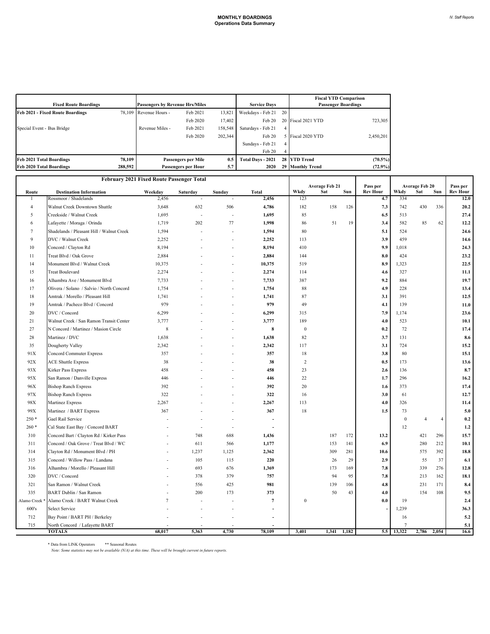| <b>Fixed Route Boardings</b>            | <b>Passengers by Revenue Hrs/Miles</b> |                        |                            | <b>Service Days</b> |                    | <b>Fiscal YTD Comparison</b><br><b>Passenger Boardings</b> |                    |            |
|-----------------------------------------|----------------------------------------|------------------------|----------------------------|---------------------|--------------------|------------------------------------------------------------|--------------------|------------|
| <b>Feb 2021 - Fixed Route Boardings</b> |                                        | 78.109 Revenue Hours - | Feb 2021                   | 13,821              | Weekdays - Feb 21  | 20                                                         |                    |            |
|                                         |                                        |                        | Feb 2020                   | 17,402              | Feb 20             |                                                            | 20 Fiscal 2021 YTD | 723,305    |
| Special Event - Bus Bridge              |                                        | Revenue Miles -        | Feb 2021                   | 158,548             | Saturdays - Feb 21 | 4                                                          |                    |            |
|                                         |                                        |                        | Feb 2020                   | 202,344             | Feb 20             |                                                            | Fiscal 2020 YTD    | 2,450,201  |
|                                         |                                        |                        |                            |                     | Sundays - Feb 21   | 4                                                          |                    |            |
|                                         |                                        |                        |                            |                     | Feb 20             |                                                            |                    |            |
| <b>Feb 2021 Total Boardings</b>         | 78.109                                 |                        | <b>Passengers per Mile</b> | 0.5                 | Total Days - 2021  |                                                            | 28 YTD Trend       | $(70.5\%)$ |
| <b>Feb 2020 Total Boardings</b>         | 288,592                                |                        | Passengers per Hour        | 5.7                 | 2020               |                                                            | 29 Monthly Trend   | $(72.9\%)$ |

|                | February 2021 Fixed Route Passenger Total               |                  |                |                |                |                  |                              |       |                             |          |                              |                |                             |
|----------------|---------------------------------------------------------|------------------|----------------|----------------|----------------|------------------|------------------------------|-------|-----------------------------|----------|------------------------------|----------------|-----------------------------|
|                |                                                         |                  |                |                | <b>Total</b>   | Wkdy             | <b>Average Feb 21</b><br>Sat | Sun   | Pass per<br><b>Rev Hour</b> | Wkdy     | <b>Average Feb 20</b><br>Sat | Sun            | Pass per<br><b>Rev Hour</b> |
| Route<br>-1    | <b>Destination Information</b><br>Rossmoor / Shadelands | Weekday<br>2,456 | Saturday       | Sunday         | 2,456          | 123              |                              |       | 4.7                         | 334      |                              |                | 12.0                        |
| $\overline{4}$ | Walnut Creek Downtown Shuttle                           | 3,648            | 632            | 506            | 4,786          | 182              | 158                          | 126   | 7.3                         | 742      | 430                          | 336            | 20.2                        |
| 5              | Creekside / Walnut Creek                                | 1,695            | $\overline{a}$ | $\overline{a}$ | 1,695          | 85               |                              |       | 6.5                         | 513      |                              |                | 27.4                        |
| 6              | Lafayette / Moraga / Orinda                             | 1,719            | 202            | 77             | 1,998          | 86               | 51                           | 19    | 3.4                         | 582      | 85                           | 62             | 12.2                        |
| 7              | Shadelands / Pleasant Hill / Walnut Creek               | 1,594            |                | $\overline{a}$ | 1,594          | 80               |                              |       | 5.1                         | 524      |                              |                | 24.6                        |
| 9              | DVC / Walnut Creek                                      | 2,252            |                | ÷              | 2,252          | 113              |                              |       | 3.9                         | 459      |                              |                | 14.6                        |
| 10             | Concord / Clayton Rd                                    | 8,194            |                |                | 8,194          | 410              |                              |       | 9.9                         | 1,018    |                              |                | 24.3                        |
| 11             | Treat Blvd / Oak Grove                                  | 2,884            |                |                | 2,884          | 144              |                              |       | 8.0                         | 424      |                              |                | 23.2                        |
| 14             | Monument Blvd / Walnut Creek                            | 10,375           |                |                | 10,375         | 519              |                              |       | 8.9                         | 1,323    |                              |                | 22.5                        |
| 15             | <b>Treat Boulevard</b>                                  | 2,274            |                |                | 2,274          | 114              |                              |       | 4.6                         | 327      |                              |                | 11.1                        |
| 16             | Alhambra Ave / Monument Blvd                            | 7,733            |                |                | 7,733          | 387              |                              |       | 9.2                         | 884      |                              |                | 19.7                        |
| 17             | Olivera / Solano / Salvio / North Concord               | 1,754            |                |                | 1,754          | 88               |                              |       | 4.9                         | 228      |                              |                | 13.4                        |
| 18             | Amtrak / Morello / Pleasant Hill                        | 1,741            |                |                | 1,741          | 87               |                              |       | 3.1                         | 391      |                              |                | 12.5                        |
| 19             | Amtrak / Pacheco Blvd / Concord                         | 979              |                |                | 979            | 49               |                              |       | 4.1                         | 139      |                              |                | 11.0                        |
| 20             | DVC / Concord                                           | 6,299            |                |                | 6,299          | 315              |                              |       | 7.9                         | 1,174    |                              |                | 23.6                        |
| 21             | Walnut Creek / San Ramon Transit Center                 | 3,777            |                |                | 3,777          | 189              |                              |       | 4.0                         | 523      |                              |                | 10.1                        |
| 27             | N Concord / Martinez / Masion Circle                    | 8                |                |                | $\bf 8$        | $\mathbf{0}$     |                              |       | 0.2                         | 72       |                              |                | 17.4                        |
| 28             | Martinez / DVC                                          | 1,638            |                |                | 1,638          | 82               |                              |       | 3.7                         | 131      |                              |                | 8.6                         |
| 35             | Dougherty Valley                                        | 2,342            |                |                | 2,342          | 117              |                              |       | 3.1                         | 724      |                              |                | 15.2                        |
| 91X            | <b>Concord Commuter Express</b>                         | 357              |                |                | 357            | 18               |                              |       | 3.8                         | 80       |                              |                | 15.1                        |
| 92X            | <b>ACE Shuttle Express</b>                              | 38               |                |                | 38             | $\overline{c}$   |                              |       | 0.5                         | 173      |                              |                | 13.6                        |
| 93X            | Kirker Pass Express                                     | 458              |                |                | 458            | 23               |                              |       | 2.6                         | 136      |                              |                | 8.7                         |
| 95X            | San Ramon / Danville Express                            | 446              |                |                | 446            | 22               |                              |       | 1.7                         | 296      |                              |                | 16.2                        |
| 96X            | <b>Bishop Ranch Express</b>                             | 392              |                |                | 392            | 20               |                              |       | 1.6                         | 373      |                              |                | 17.4                        |
| 97X            | <b>Bishop Ranch Express</b>                             | 322              |                |                | 322            | 16               |                              |       | 3.0                         | 61       |                              |                | 12.7                        |
| 98X            | Martinez Express                                        | 2,267            |                |                | 2,267          | 113              |                              |       | 4.0                         | 326      |                              |                | 11.4                        |
| 99X            | Martinez / BART Express                                 | 367              |                |                | 367            | 18               |                              |       | 1.5                         | 73       |                              |                | 5.0                         |
| 250 *          | Gael Rail Service                                       |                  |                |                |                |                  |                              |       |                             | $\bf{0}$ | $\overline{4}$               | $\overline{4}$ | 0.2                         |
| 260 *          | Cal State East Bay / Concord BART                       |                  |                | ÷,             | $\overline{a}$ |                  |                              |       |                             | 12       |                              |                | 1.2                         |
| 310            | Concord Bart / Clayton Rd / Kirker Pass                 |                  | 748            | 688            | 1,436          |                  | 187                          | 172   | 13.2                        |          | 421                          | 296            | 15.7                        |
| 311            | Concord / Oak Grove / Treat Blvd / WC                   |                  | 611            | 566            | 1,177          |                  | 153                          | 141   | 6.9                         |          | 280                          | 212            | 10.1                        |
| 314            | Clayton Rd / Monument Blvd / PH                         |                  | 1,237          | 1,125          | 2,362          |                  | 309                          | 281   | 10.6                        |          | 575                          | 392            | 18.8                        |
| 315            | Concord / Willow Pass / Landana                         |                  | 105            | 115            | 220            |                  | 26                           | 29    | 2.9                         |          | 55                           | 37             | 6.1                         |
| 316            | Alhambra / Morello / Pleasant Hill                      |                  | 693            | 676            | 1,369          |                  | 173                          | 169   | 7.8                         |          | 339                          | 276            | 12.8                        |
| 320            | DVC / Concord                                           |                  | 378            | 379            | 757            |                  | 94                           | 95    | 7.8                         |          | 213                          | 162            | 18.1                        |
| 321            | San Ramon / Walnut Creek                                |                  | 556            | 425            | 981            |                  | 139                          | 106   | 4.8                         |          | 231                          | 171            | 8.4                         |
| 335            | <b>BART Dublin / San Ramon</b>                          |                  | 200            | 173            | 373            |                  | 50                           | 43    | 4.0                         |          | 154                          | 108            | 9.5                         |
| Alamo Creek    | Alamo Creek / BART Walnut Creek                         | $\overline{7}$   |                |                | $\overline{7}$ | $\boldsymbol{0}$ |                              |       | 0.0                         | 19       |                              |                | 2.4                         |
| 600's          | Select Service                                          |                  |                |                |                |                  |                              |       |                             | 1,239    |                              |                | 36.3                        |
| 712            | Bay Point / BART PH / Berkeley                          |                  |                |                |                |                  |                              |       |                             | 16       |                              |                | 5.2                         |
| 715            | North Concord / Lafayette BART                          |                  |                |                |                |                  |                              |       |                             | 7        |                              |                | 5.1                         |
|                | <b>TOTALS</b>                                           | 68,017           | 5.363          | 4.730          | 78.109         | 3.401            | 1.341                        | 1.182 | 5.5                         | 13,322   | 2.786                        | 2.054          | 16.6                        |

\* Data from LINK Operators \*\* Seasonal Routes *Note: Some statistics may not be available (N/A) at this time. These will be brought current in future reports.*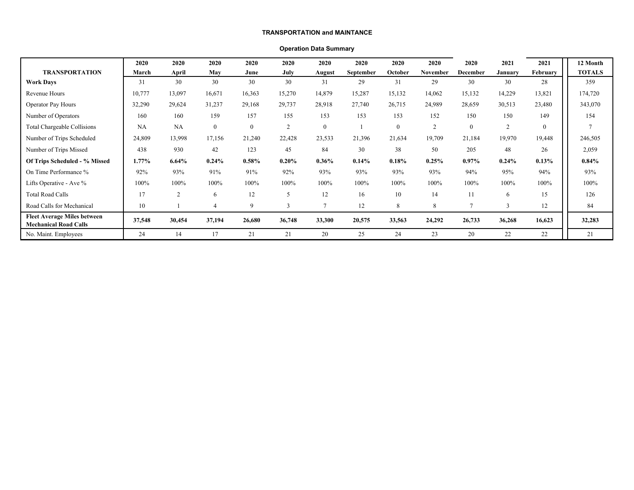#### **TRANSPORTATION and MAINTANCE**

### **Operation Data Summary**

|                                                                    | 2020     | 2020           | 2020           | 2020     | 2020           | 2020           | 2020      | 2020     | 2020           | 2020            | 2021     | 2021         | 12 Month      |
|--------------------------------------------------------------------|----------|----------------|----------------|----------|----------------|----------------|-----------|----------|----------------|-----------------|----------|--------------|---------------|
| <b>TRANSPORTATION</b>                                              | March    | April          | May            | June     | July           | August         | September | October  | November       | <b>December</b> | January  | February     | <b>TOTALS</b> |
| <b>Work Days</b>                                                   | 31       | 30             | 30             | 30       | 30             | 31             | 29        | 31       | 29             | 30              | 30       | 28           | 359           |
| Revenue Hours                                                      | 10,777   | 13,097         | 16,671         | 16,363   | 15,270         | 14,879         | 15,287    | 15,132   | 14,062         | 15,132          | 14,229   | 13,821       | 174,720       |
| <b>Operator Pay Hours</b>                                          | 32,290   | 29,624         | 31,237         | 29,168   | 29,737         | 28,918         | 27,740    | 26,715   | 24,989         | 28,659          | 30,513   | 23,480       | 343,070       |
| Number of Operators                                                | 160      | 160            | 159            | 157      | 155            | 153            | 153       | 153      | 152            | 150             | 150      | 149          | 154           |
| Total Chargeable Collisions                                        | NA       | <b>NA</b>      | $\mathbf{0}$   | $\theta$ | $\overline{2}$ | $\mathbf{0}$   |           | $\theta$ | $\overline{c}$ | $\theta$        | 2        | $\mathbf{0}$ |               |
| Number of Trips Scheduled                                          | 24,809   | 13,998         | 17,156         | 21,240   | 22,428         | 23,533         | 21,396    | 21,634   | 19,709         | 21,184          | 19,970   | 19,448       | 246,505       |
| Number of Trips Missed                                             | 438      | 930            | 42             | 123      | 45             | 84             | 30        | 38       | 50             | 205             | 48       | 26           | 2,059         |
| Of Trips Scheduled - % Missed                                      | $1.77\%$ | 6.64%          | $0.24\%$       | 0.58%    | 0.20%          | $0.36\%$       | 0.14%     | 0.18%    | 0.25%          | $0.97\%$        | $0.24\%$ | $0.13\%$     | $0.84\%$      |
| On Time Performance %                                              | 92%      | 93%            | 91%            | 91%      | 92%            | 93%            | 93%       | 93%      | 93%            | 94%             | 95%      | 94%          | 93%           |
| Lifts Operative - Ave %                                            | 100%     | 100%           | 100%           | 100%     | 100%           | 100%           | 100%      | 100%     | 100%           | 100%            | 100%     | 100%         | 100%          |
| <b>Total Road Calls</b>                                            | 17       | $\overline{c}$ | 6              | 12       |                | 12             | 16        | 10       | 14             | 11              | 6        | 15           | 126           |
| Road Calls for Mechanical                                          | 10       |                | $\overline{4}$ | 9        |                | $\overline{7}$ | 12        | 8        | 8              |                 | 3        | 12           | 84            |
| <b>Fleet Average Miles between</b><br><b>Mechanical Road Calls</b> | 37,548   | 30,454         | 37,194         | 26,680   | 36,748         | 33,300         | 20,575    | 33,563   | 24,292         | 26,733          | 36,268   | 16,623       | 32,283        |
| No. Maint. Employees                                               | 24       | 14             | 17             | 21       | 21             | 20             | 25        | 24       | 23             | 20              | 22       | 22           | 21            |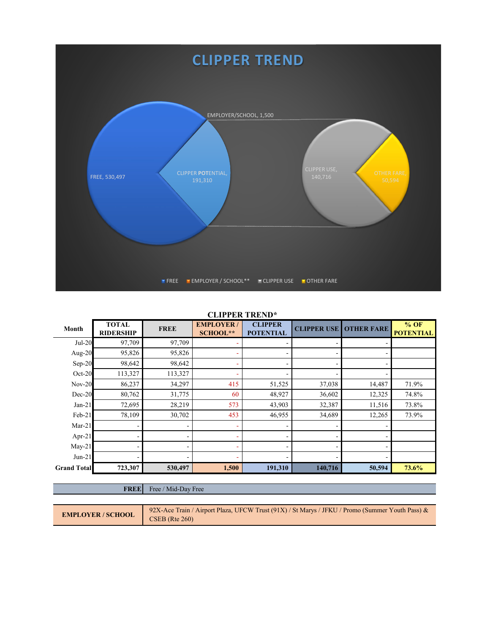

### **CLIPPER TREND\***

| Month              | <b>TOTAL</b><br><b>RIDERSHIP</b> | <b>FREE</b>              | <b>EMPLOYER/</b><br><b>SCHOOL**</b> | <b>CLIPPER</b><br><b>POTENTIAL</b> | <b>CLIPPER USE</b>       | <b>OTHER FARE</b> | $%$ OF<br><b>POTENTIAL</b> |
|--------------------|----------------------------------|--------------------------|-------------------------------------|------------------------------------|--------------------------|-------------------|----------------------------|
| $Jul-20$           | 97,709                           | 97,709                   |                                     |                                    |                          |                   |                            |
| Aug- $20$          | 95,826                           | 95,826                   |                                     |                                    | ۰                        |                   |                            |
| $Sep-20$           | 98,642                           | 98,642                   |                                     |                                    | ۰                        |                   |                            |
| $Oct-20$           | 113,327                          | 113,327                  |                                     |                                    | $\overline{\phantom{0}}$ |                   |                            |
| $Nov-20$           | 86,237                           | 34,297                   | 415                                 | 51,525                             | 37,038                   | 14,487            | 71.9%                      |
| $Dec-20$           | 80,762                           | 31,775                   | 60                                  | 48,927                             | 36,602                   | 12,325            | 74.8%                      |
| $Jan-21$           | 72,695                           | 28,219                   | 573                                 | 43,903                             | 32,387                   | 11,516            | 73.8%                      |
| Feb-21             | 78,109                           | 30,702                   | 453                                 | 46,955                             | 34,689                   | 12,265            | 73.9%                      |
| $Mar-21$           |                                  | ۰                        |                                     |                                    |                          |                   |                            |
| Apr-21             |                                  | ۰                        |                                     |                                    | ۰                        |                   |                            |
| $May-21$           |                                  | $\overline{\phantom{0}}$ |                                     |                                    |                          |                   |                            |
| $Jun-21$           |                                  |                          |                                     |                                    |                          |                   |                            |
| <b>Grand Total</b> | 723,307                          | 530,497                  | 1,500                               | 191,310                            | 140,716                  | 50,594            | 73.6%                      |

### FREE Free / Mid-Day Free

| <b>EMPLOYER / SCHOOL</b> | 92X-Ace Train / Airport Plaza, UFCW Trust $(91X)$ / St Marys / JFKU / Promo (Summer Youth Pass) & |
|--------------------------|---------------------------------------------------------------------------------------------------|
|                          | CSEB (Rte 260)                                                                                    |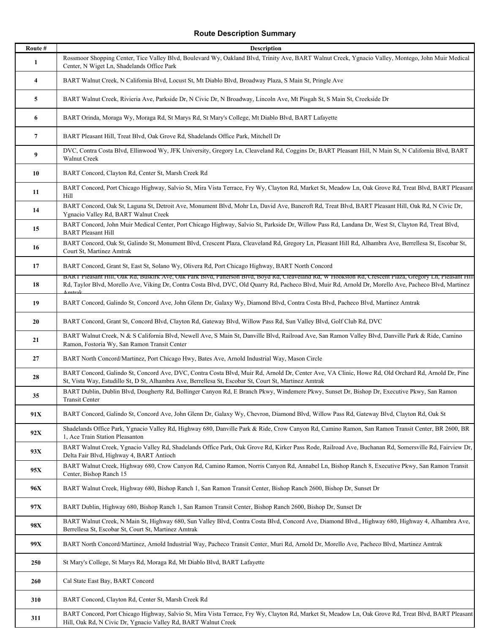## **Route Description Summary**

| Route $\#$     | <b>Description</b>                                                                                                                                                                                                                                                                                                                 |
|----------------|------------------------------------------------------------------------------------------------------------------------------------------------------------------------------------------------------------------------------------------------------------------------------------------------------------------------------------|
| 1              | Rossmoor Shopping Center, Tice Valley Blvd, Boulevard Wy, Oakland Blvd, Trinity Ave, BART Walnut Creek, Ygnacio Valley, Montego, John Muir Medical<br>Center, N Wiget Ln, Shadelands Office Park                                                                                                                                   |
| 4              | BART Walnut Creek, N California Blvd, Locust St, Mt Diablo Blvd, Broadway Plaza, S Main St, Pringle Ave                                                                                                                                                                                                                            |
| 5              | BART Walnut Creek, Rivieria Ave, Parkside Dr, N Civic Dr, N Broadway, Lincoln Ave, Mt Pisgah St, S Main St, Creekside Dr                                                                                                                                                                                                           |
| 6              | BART Orinda, Moraga Wy, Moraga Rd, St Marys Rd, St Mary's College, Mt Diablo Blvd, BART Lafayette                                                                                                                                                                                                                                  |
| $\overline{7}$ | BART Pleasant Hill, Treat Blvd, Oak Grove Rd, Shadelands Office Park, Mitchell Dr                                                                                                                                                                                                                                                  |
| 9              | DVC, Contra Costa Blvd, Ellinwood Wy, JFK University, Gregory Ln, Cleaveland Rd, Coggins Dr, BART Pleasant Hill, N Main St, N California Blvd, BART<br>Walnut Creek                                                                                                                                                                |
| 10             | BART Concord, Clayton Rd, Center St, Marsh Creek Rd                                                                                                                                                                                                                                                                                |
| 11             | BART Concord, Port Chicago Highway, Salvio St, Mira Vista Terrace, Fry Wy, Clayton Rd, Market St, Meadow Ln, Oak Grove Rd, Treat Blvd, BART Pleasant<br>Hill                                                                                                                                                                       |
| 14             | BART Concord, Oak St, Laguna St, Detroit Ave, Monument Blvd, Mohr Ln, David Ave, Bancroft Rd, Treat Blvd, BART Pleasant Hill, Oak Rd, N Civic Dr,<br>Ygnacio Valley Rd, BART Walnut Creek                                                                                                                                          |
| 15             | BART Concord, John Muir Medical Center, Port Chicago Highway, Salvio St, Parkside Dr, Willow Pass Rd, Landana Dr, West St, Clayton Rd, Treat Blvd,<br><b>BART Pleasant Hill</b>                                                                                                                                                    |
| 16             | BART Concord, Oak St, Galindo St, Monument Blvd, Crescent Plaza, Cleaveland Rd, Gregory Ln, Pleasant Hill Rd, Alhambra Ave, Berrellesa St, Escobar St,<br>Court St, Martinez Amtrak                                                                                                                                                |
| 17             | BART Concord, Grant St, East St, Solano Wy, Olivera Rd, Port Chicago Highway, BART North Concord                                                                                                                                                                                                                                   |
| 18             | BART Pleasant Hill, Oak Rd, Buskirk Ave, Oak Park Blvd, Patterson Blvd, Boyd Rd, Cleaveland Rd, W Hookston Rd, Crescent Plaza, Gregory Ln, Pleasant Hill<br>Rd, Taylor Blvd, Morello Ave, Viking Dr, Contra Costa Blvd, DVC, Old Quarry Rd, Pacheco Blvd, Muir Rd, Arnold Dr, Morello Ave, Pacheco Blvd, Martinez<br><u>Amtrak</u> |
| 19             | BART Concord, Galindo St, Concord Ave, John Glenn Dr, Galaxy Wy, Diamond Blvd, Contra Costa Blvd, Pacheco Blvd, Martinez Amtrak                                                                                                                                                                                                    |
| 20             | BART Concord, Grant St, Concord Blvd, Clayton Rd, Gateway Blvd, Willow Pass Rd, Sun Valley Blvd, Golf Club Rd, DVC                                                                                                                                                                                                                 |
| 21             | BART Walnut Creek, N & S California Blvd, Newell Ave, S Main St, Danville Blvd, Railroad Ave, San Ramon Valley Blvd, Danville Park & Ride, Camino<br>Ramon, Fostoria Wy, San Ramon Transit Center                                                                                                                                  |
| 27             | BART North Concord/Martinez, Port Chicago Hwy, Bates Ave, Arnold Industrial Way, Mason Circle                                                                                                                                                                                                                                      |
| 28             | BART Concord, Galindo St, Concord Ave, DVC, Contra Costa Blvd, Muir Rd, Arnold Dr, Center Ave, VA Clinic, Howe Rd, Old Orchard Rd, Arnold Dr, Pine<br>St, Vista Way, Estudillo St, D St, Alhambra Ave, Berrellesa St, Escobar St, Court St, Martinez Amtrak                                                                        |
| 35             | BART Dublin, Dublin Blvd, Dougherty Rd, Bollinger Canyon Rd, E Branch Pkwy, Windemere Pkwy, Sunset Dr, Bishop Dr, Executive Pkwy, San Ramon<br>Transit Center                                                                                                                                                                      |
| 91X            | BART Concord, Galindo St, Concord Ave, John Glenn Dr, Galaxy Wy, Chevron, Diamond Blvd, Willow Pass Rd, Gateway Blvd, Clayton Rd, Oak St                                                                                                                                                                                           |
| 92X            | Shadelands Office Park, Ygnacio Valley Rd, Highway 680, Danville Park & Ride, Crow Canyon Rd, Camino Ramon, San Ramon Transit Center, BR 2600, BR<br>1, Ace Train Station Pleasanton                                                                                                                                               |
| 93X            | BART Walnut Creek, Ygnacio Valley Rd, Shadelands Office Park, Oak Grove Rd, Kirker Pass Rode, Railroad Ave, Buchanan Rd, Somersville Rd, Fairview Dr,<br>Delta Fair Blvd, Highway 4, BART Antioch                                                                                                                                  |
| 95X            | BART Walnut Creek, Highway 680, Crow Canyon Rd, Camino Ramon, Norris Canyon Rd, Annabel Ln, Bishop Ranch 8, Executive Pkwy, San Ramon Transit<br>Center, Bishop Ranch 15                                                                                                                                                           |
| 96X            | BART Walnut Creek, Highway 680, Bishop Ranch 1, San Ramon Transit Center, Bishop Ranch 2600, Bishop Dr, Sunset Dr                                                                                                                                                                                                                  |
| 97X            | BART Dublin, Highway 680, Bishop Ranch 1, San Ramon Transit Center, Bishop Ranch 2600, Bishop Dr, Sunset Dr                                                                                                                                                                                                                        |
| 98X            | BART Walnut Creek, N Main St, Highway 680, Sun Valley Blvd, Contra Costa Blvd, Concord Ave, Diamond Blvd., Highway 680, Highway 4, Alhambra Ave,<br>Berrellesa St, Escobar St, Court St, Martinez Amtrak                                                                                                                           |
| 99X            | BART North Concord/Martinez, Arnold Industrial Way, Pacheco Transit Center, Muri Rd, Arnold Dr, Morello Ave, Pacheco Blvd, Martinez Amtrak                                                                                                                                                                                         |
| 250            | St Mary's College, St Marys Rd, Moraga Rd, Mt Diablo Blvd, BART Lafayette                                                                                                                                                                                                                                                          |
| 260            | Cal State East Bay, BART Concord                                                                                                                                                                                                                                                                                                   |
| 310            | BART Concord, Clayton Rd, Center St, Marsh Creek Rd                                                                                                                                                                                                                                                                                |
| 311            | BART Concord, Port Chicago Highway, Salvio St, Mira Vista Terrace, Fry Wy, Clayton Rd, Market St, Meadow Ln, Oak Grove Rd, Treat Blvd, BART Pleasant<br>Hill, Oak Rd, N Civic Dr, Ygnacio Valley Rd, BART Walnut Creek                                                                                                             |